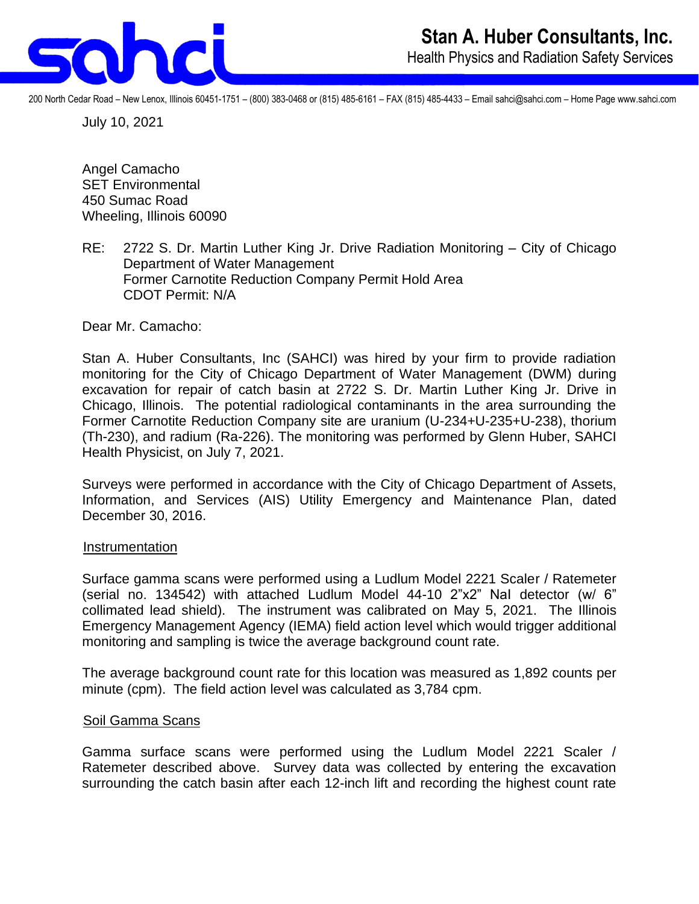

200 North Cedar Road – New Lenox, Illinois 60451-1751 – (800) 383-0468 or (815) 485-6161 – FAX (815) 485-4433 – Email sahci@sahci.com – Home Page www.sahci.com

July 10, 2021

Angel Camacho SET Environmental 450 Sumac Road Wheeling, Illinois 60090

RE: 2722 S. Dr. Martin Luther King Jr. Drive Radiation Monitoring – City of Chicago Department of Water Management Former Carnotite Reduction Company Permit Hold Area CDOT Permit: N/A

Dear Mr. Camacho:

Stan A. Huber Consultants, Inc (SAHCI) was hired by your firm to provide radiation monitoring for the City of Chicago Department of Water Management (DWM) during excavation for repair of catch basin at 2722 S. Dr. Martin Luther King Jr. Drive in Chicago, Illinois. The potential radiological contaminants in the area surrounding the Former Carnotite Reduction Company site are uranium (U-234+U-235+U-238), thorium (Th-230), and radium (Ra-226). The monitoring was performed by Glenn Huber, SAHCI Health Physicist, on July 7, 2021.

Surveys were performed in accordance with the City of Chicago Department of Assets, Information, and Services (AIS) Utility Emergency and Maintenance Plan, dated December 30, 2016.

## Instrumentation

Surface gamma scans were performed using a Ludlum Model 2221 Scaler / Ratemeter (serial no. 134542) with attached Ludlum Model 44-10 2"x2" NaI detector (w/ 6" collimated lead shield). The instrument was calibrated on May 5, 2021. The Illinois Emergency Management Agency (IEMA) field action level which would trigger additional monitoring and sampling is twice the average background count rate.

The average background count rate for this location was measured as 1,892 counts per minute (cpm). The field action level was calculated as 3,784 cpm.

## Soil Gamma Scans

Gamma surface scans were performed using the Ludlum Model 2221 Scaler / Ratemeter described above. Survey data was collected by entering the excavation surrounding the catch basin after each 12-inch lift and recording the highest count rate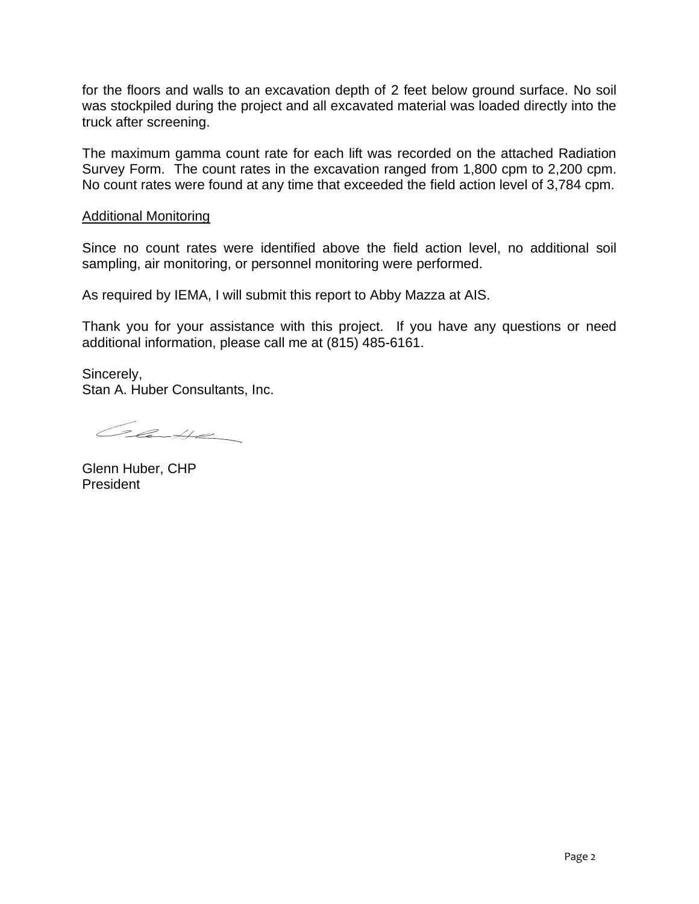for the floors and walls to an excavation depth of 2 feet below ground surface. No soil was stockpiled during the project and all excavated material was loaded directly into the truck after screening.

The maximum gamma count rate for each lift was recorded on the attached Radiation Survey Form. The count rates in the excavation ranged from 1,800 cpm to 2,200 cpm. No count rates were found at any time that exceeded the field action level of 3,784 cpm.

## Additional Monitoring

Since no count rates were identified above the field action level, no additional soil sampling, air monitoring, or personnel monitoring were performed.

As required by IEMA, I will submit this report to Abby Mazza at AIS.

Thank you for your assistance with this project. If you have any questions or need additional information, please call me at (815) 485-6161.

Sincerely, Stan A. Huber Consultants, Inc.

Class

Glenn Huber, CHP President